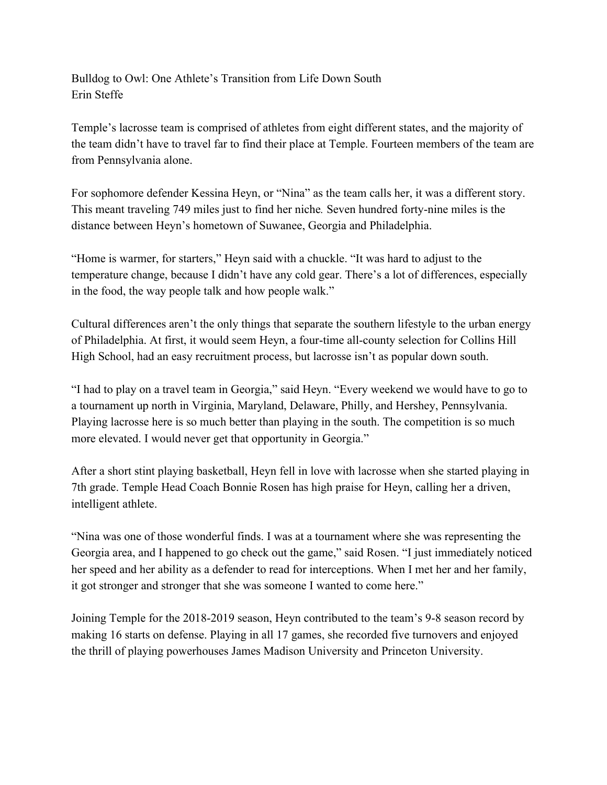Bulldog to Owl: One Athlete's Transition from Life Down South Erin Steffe

Temple's lacrosse team is comprised of athletes from eight different states, and the majority of the team didn't have to travel far to find their place at Temple. Fourteen members of the team are from Pennsylvania alone.

For sophomore defender Kessina Heyn, or "Nina" as the team calls her, it was a different story. This meant traveling 749 miles just to find her niche*.* Seven hundred forty-nine miles is the distance between Heyn's hometown of Suwanee, Georgia and Philadelphia.

"Home is warmer, for starters," Heyn said with a chuckle. "It was hard to adjust to the temperature change, because I didn't have any cold gear. There's a lot of differences, especially in the food, the way people talk and how people walk."

Cultural differences aren't the only things that separate the southern lifestyle to the urban energy of Philadelphia. At first, it would seem Heyn, a four-time all-county selection for Collins Hill High School, had an easy recruitment process, but lacrosse isn't as popular down south.

"I had to play on a travel team in Georgia," said Heyn. "Every weekend we would have to go to a tournament up north in Virginia, Maryland, Delaware, Philly, and Hershey, Pennsylvania. Playing lacrosse here is so much better than playing in the south. The competition is so much more elevated. I would never get that opportunity in Georgia."

After a short stint playing basketball, Heyn fell in love with lacrosse when she started playing in 7th grade. Temple Head Coach Bonnie Rosen has high praise for Heyn, calling her a driven, intelligent athlete.

"Nina was one of those wonderful finds. I was at a tournament where she was representing the Georgia area, and I happened to go check out the game," said Rosen. "I just immediately noticed her speed and her ability as a defender to read for interceptions. When I met her and her family, it got stronger and stronger that she was someone I wanted to come here."

Joining Temple for the 2018-2019 season, Heyn contributed to the team's 9-8 season record by making 16 starts on defense. Playing in all 17 games, she recorded five turnovers and enjoyed the thrill of playing powerhouses James Madison University and Princeton University.